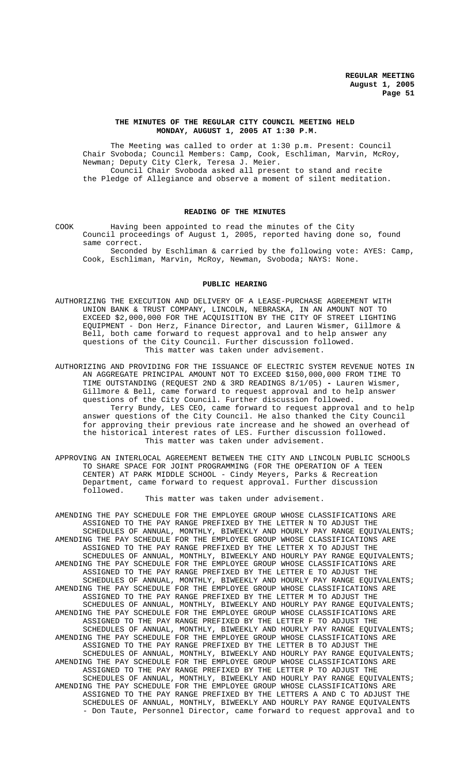## **THE MINUTES OF THE REGULAR CITY COUNCIL MEETING HELD MONDAY, AUGUST 1, 2005 AT 1:30 P.M.**

The Meeting was called to order at 1:30 p.m. Present: Council Chair Svoboda; Council Members: Camp, Cook, Eschliman, Marvin, McRoy, Newman; Deputy City Clerk, Teresa J. Meier. Council Chair Svoboda asked all present to stand and recite the Pledge of Allegiance and observe a moment of silent meditation.

#### **READING OF THE MINUTES**

COOK Having been appointed to read the minutes of the City Council proceedings of August 1, 2005, reported having done so, found same correct.

Seconded by Eschliman & carried by the following vote: AYES: Camp, Cook, Eschliman, Marvin, McRoy, Newman, Svoboda; NAYS: None.

#### **PUBLIC HEARING**

- AUTHORIZING THE EXECUTION AND DELIVERY OF A LEASE-PURCHASE AGREEMENT WITH UNION BANK & TRUST COMPANY, LINCOLN, NEBRASKA, IN AN AMOUNT NOT TO EXCEED \$2,000,000 FOR THE ACQUISITION BY THE CITY OF STREET LIGHTING EQUIPMENT - Don Herz, Finance Director, and Lauren Wismer, Gillmore & Bell, both came forward to request approval and to help answer any questions of the City Council. Further discussion followed. This matter was taken under advisement.
- AUTHORIZING AND PROVIDING FOR THE ISSUANCE OF ELECTRIC SYSTEM REVENUE NOTES IN AN AGGREGATE PRINCIPAL AMOUNT NOT TO EXCEED \$150,000,000 FROM TIME TO TIME OUTSTANDING (REQUEST 2ND & 3RD READINGS 8/1/05) **-** Lauren Wismer, Gillmore & Bell, came forward to request approval and to help answer questions of the City Council. Further discussion followed. Terry Bundy, LES CEO, came forward to request approval and to help answer questions of the City Council. He also thanked the City Council for approving their previous rate increase and he showed an overhead of the historical interest rates of LES. Further discussion followed. This matter was taken under advisement.
- APPROVING AN INTERLOCAL AGREEMENT BETWEEN THE CITY AND LINCOLN PUBLIC SCHOOLS TO SHARE SPACE FOR JOINT PROGRAMMING (FOR THE OPERATION OF A TEEN CENTER) AT PARK MIDDLE SCHOOL - Cindy Meyers, Parks & Recreation Department, came forward to request approval. Further discussion followed.

This matter was taken under advisement.

AMENDING THE PAY SCHEDULE FOR THE EMPLOYEE GROUP WHOSE CLASSIFICATIONS ARE ASSIGNED TO THE PAY RANGE PREFIXED BY THE LETTER N TO ADJUST THE SCHEDULES OF ANNUAL, MONTHLY, BIWEEKLY AND HOURLY PAY RANGE EQUIVALENTS; AMENDING THE PAY SCHEDULE FOR THE EMPLOYEE GROUP WHOSE CLASSIFICATIONS ARE ASSIGNED TO THE PAY RANGE PREFIXED BY THE LETTER X TO ADJUST THE SCHEDULES OF ANNUAL, MONTHLY, BIWEEKLY AND HOURLY PAY RANGE EQUIVALENTS; AMENDING THE PAY SCHEDULE FOR THE EMPLOYEE GROUP WHOSE CLASSIFICATIONS ARE ASSIGNED TO THE PAY RANGE PREFIXED BY THE LETTER E TO ADJUST THE SCHEDULES OF ANNUAL, MONTHLY, BIWEEKLY AND HOURLY PAY RANGE EQUIVALENTS; AMENDING THE PAY SCHEDULE FOR THE EMPLOYEE GROUP WHOSE CLASSIFICATIONS ARE ASSIGNED TO THE PAY RANGE PREFIXED BY THE LETTER M TO ADJUST THE SCHEDULES OF ANNUAL, MONTHLY, BIWEEKLY AND HOURLY PAY RANGE EQUIVALENTS; AMENDING THE PAY SCHEDULE FOR THE EMPLOYEE GROUP WHOSE CLASSIFICATIONS ARE ASSIGNED TO THE PAY RANGE PREFIXED BY THE LETTER F TO ADJUST THE SCHEDULES OF ANNUAL, MONTHLY, BIWEEKLY AND HOURLY PAY RANGE EQUIVALENTS; AMENDING THE PAY SCHEDULE FOR THE EMPLOYEE GROUP WHOSE CLASSIFICATIONS ARE ASSIGNED TO THE PAY RANGE PREFIXED BY THE LETTER B TO ADJUST THE SCHEDULES OF ANNUAL, MONTHLY, BIWEEKLY AND HOURLY PAY RANGE EQUIVALENTS; AMENDING THE PAY SCHEDULE FOR THE EMPLOYEE GROUP WHOSE CLASSIFICATIONS ARE ASSIGNED TO THE PAY RANGE PREFIXED BY THE LETTER P TO ADJUST THE SCHEDULES OF ANNUAL, MONTHLY, BIWEEKLY AND HOURLY PAY RANGE EQUIVALENTS; AMENDING THE PAY SCHEDULE FOR THE EMPLOYEE GROUP WHOSE CLASSIFICATIONS ARE ASSIGNED TO THE PAY RANGE PREFIXED BY THE LETTERS A AND C TO ADJUST THE SCHEDULES OF ANNUAL, MONTHLY, BIWEEKLY AND HOURLY PAY RANGE EQUIVALENTS - Don Taute, Personnel Director, came forward to request approval and to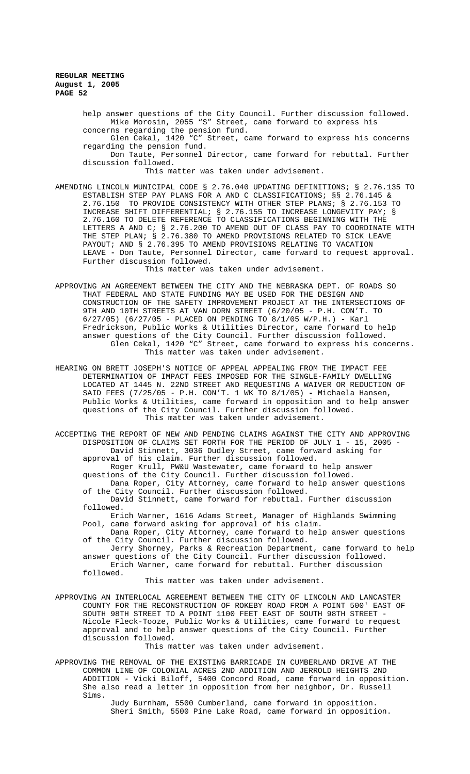> help answer questions of the City Council. Further discussion followed. Mike Morosin, 2055 "S" Street, came forward to express his concerns regarding the pension fund.

> Glen Cekal, 1420 "C" Street, came forward to express his concerns regarding the pension fund.

Don Taute, Personnel Director, came forward for rebuttal. Further discussion followed.

This matter was taken under advisement.

AMENDING LINCOLN MUNICIPAL CODE § 2.76.040 UPDATING DEFINITIONS; § 2.76.135 TO ESTABLISH STEP PAY PLANS FOR A AND C CLASSIFICATIONS; §§ 2.76.145 & 2.76.150 TO PROVIDE CONSISTENCY WITH OTHER STEP PLANS; § 2.76.153 TO INCREASE SHIFT DIFFERENTIAL; § 2.76.155 TO INCREASE LONGEVITY PAY; § 2.76.160 TO DELETE REFERENCE TO CLASSIFICATIONS BEGINNING WITH THE LETTERS A AND C; § 2.76.200 TO AMEND OUT OF CLASS PAY TO COORDINATE WITH THE STEP PLAN; § 2.76.380 TO AMEND PROVISIONS RELATED TO SICK LEAVE PAYOUT; AND § 2.76.395 TO AMEND PROVISIONS RELATING TO VACATION LEAVE **-** Don Taute, Personnel Director, came forward to request approval. Further discussion followed.

This matter was taken under advisement.

- APPROVING AN AGREEMENT BETWEEN THE CITY AND THE NEBRASKA DEPT. OF ROADS SO THAT FEDERAL AND STATE FUNDING MAY BE USED FOR THE DESIGN AND CONSTRUCTION OF THE SAFETY IMPROVEMENT PROJECT AT THE INTERSECTIONS OF 9TH AND 10TH STREETS AT VAN DORN STREET (6/20/05 - P.H. CON'T. TO 6/27/05) (6/27/05 - PLACED ON PENDING TO 8/1/05 W/P.H.) **-** Karl Fredrickson, Public Works & Utilities Director, came forward to help answer questions of the City Council. Further discussion followed. Glen Cekal, 1420 "C" Street, came forward to express his concerns. This matter was taken under advisement.
- HEARING ON BRETT JOSEPH'S NOTICE OF APPEAL APPEALING FROM THE IMPACT FEE DETERMINATION OF IMPACT FEES IMPOSED FOR THE SINGLE-FAMILY DWELLING LOCATED AT 1445 N. 22ND STREET AND REQUESTING A WAIVER OR REDUCTION OF SAID FEES (7/25/05 - P.H. CON'T. 1 WK TO 8/1/05) **-** Michaela Hansen, Public Works & Utilities, came forward in opposition and to help answer questions of the City Council. Further discussion followed. This matter was taken under advisement.

ACCEPTING THE REPORT OF NEW AND PENDING CLAIMS AGAINST THE CITY AND APPROVING DISPOSITION OF CLAIMS SET FORTH FOR THE PERIOD OF JULY 1 - 15, 2005 - David Stinnett, 3036 Dudley Street, came forward asking for approval of his claim. Further discussion followed. Roger Krull, PW&U Wastewater, came forward to help answer questions of the City Council. Further discussion followed. Dana Roper, City Attorney, came forward to help answer questions of the City Council. Further discussion followed.

David Stinnett, came forward for rebuttal. Further discussion followed.

Erich Warner, 1616 Adams Street, Manager of Highlands Swimming Pool, came forward asking for approval of his claim.

Dana Roper, City Attorney, came forward to help answer questions of the City Council. Further discussion followed.

Jerry Shorney, Parks & Recreation Department, came forward to help answer questions of the City Council. Further discussion followed. Erich Warner, came forward for rebuttal. Further discussion followed.

This matter was taken under advisement.

APPROVING AN INTERLOCAL AGREEMENT BETWEEN THE CITY OF LINCOLN AND LANCASTER COUNTY FOR THE RECONSTRUCTION OF ROKEBY ROAD FROM A POINT 500' EAST OF SOUTH 98TH STREET TO A POINT 1100 FEET EAST OF SOUTH 98TH STREET Nicole Fleck-Tooze, Public Works & Utilities, came forward to request approval and to help answer questions of the City Council. Further discussion followed.

This matter was taken under advisement.

APPROVING THE REMOVAL OF THE EXISTING BARRICADE IN CUMBERLAND DRIVE AT THE COMMON LINE OF COLONIAL ACRES 2ND ADDITION AND JERROLD HEIGHTS 2ND ADDITION - Vicki Biloff, 5400 Concord Road, came forward in opposition. She also read a letter in opposition from her neighbor, Dr. Russell Sims.

> Judy Burnham, 5500 Cumberland, came forward in opposition. Sheri Smith, 5500 Pine Lake Road, came forward in opposition.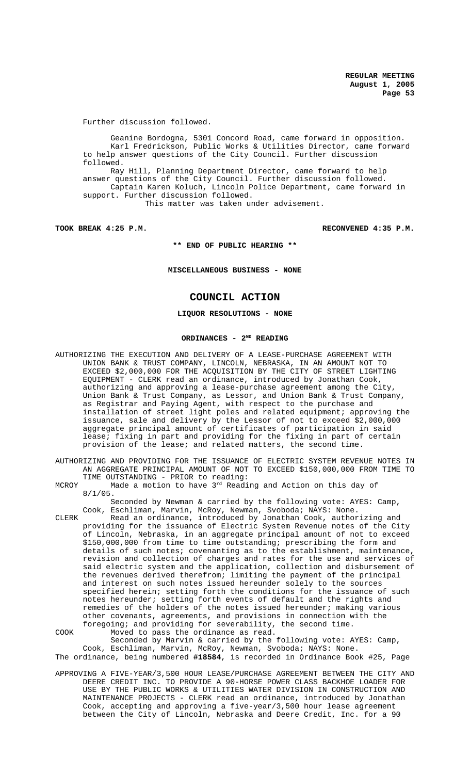Further discussion followed.

Geanine Bordogna, 5301 Concord Road, came forward in opposition. Karl Fredrickson, Public Works & Utilities Director, came forward to help answer questions of the City Council. Further discussion followed. Ray Hill, Planning Department Director, came forward to help answer questions of the City Council. Further discussion followed. Captain Karen Koluch, Lincoln Police Department, came forward in support. Further discussion followed. This matter was taken under advisement.

**TOOK BREAK 4:25 P.M. RECONVENED 4:35 P.M.**

**\*\* END OF PUBLIC HEARING \*\***

**MISCELLANEOUS BUSINESS - NONE**

# **COUNCIL ACTION**

#### **LIQUOR RESOLUTIONS - NONE**

#### ORDINANCES - 2<sup>ND</sup> READING

AUTHORIZING THE EXECUTION AND DELIVERY OF A LEASE-PURCHASE AGREEMENT WITH UNION BANK & TRUST COMPANY, LINCOLN, NEBRASKA, IN AN AMOUNT NOT TO EXCEED \$2,000,000 FOR THE ACQUISITION BY THE CITY OF STREET LIGHTING EQUIPMENT - CLERK read an ordinance, introduced by Jonathan Cook, authorizing and approving a lease-purchase agreement among the City, Union Bank & Trust Company, as Lessor, and Union Bank & Trust Company, as Registrar and Paying Agent, with respect to the purchase and installation of street light poles and related equipment; approving the issuance, sale and delivery by the Lessor of not to exceed \$2,000,000 aggregate principal amount of certificates of participation in said lease; fixing in part and providing for the fixing in part of certain provision of the lease; and related matters, the second time.

AUTHORIZING AND PROVIDING FOR THE ISSUANCE OF ELECTRIC SYSTEM REVENUE NOTES IN AN AGGREGATE PRINCIPAL AMOUNT OF NOT TO EXCEED \$150,000,000 FROM TIME TO TIME OUTSTANDING - PRIOR to reading:

MCROY Made a motion to have  $3^{rd}$  Reading and Action on this day of 8/1/05.

Seconded by Newman & carried by the following vote: AYES: Camp, Cook, Eschliman, Marvin, McRoy, Newman, Svoboda; NAYS: None.

CLERK Read an ordinance, introduced by Jonathan Cook, authorizing and providing for the issuance of Electric System Revenue notes of the City of Lincoln, Nebraska, in an aggregate principal amount of not to exceed \$150,000,000 from time to time outstanding; prescribing the form and details of such notes; covenanting as to the establishment, maintenance, revision and collection of charges and rates for the use and services of said electric system and the application, collection and disbursement of the revenues derived therefrom; limiting the payment of the principal and interest on such notes issued hereunder solely to the sources specified herein; setting forth the conditions for the issuance of such notes hereunder; setting forth events of default and the rights and remedies of the holders of the notes issued hereunder; making various other covenants, agreements, and provisions in connection with the foregoing; and providing for severability, the second time. COOK Moved to pass the ordinance as read.

Seconded by Marvin & carried by the following vote: AYES: Camp, Cook, Eschliman, Marvin, McRoy, Newman, Svoboda; NAYS: None. The ordinance, being numbered **#18584**, is recorded in Ordinance Book #25, Page

APPROVING A FIVE-YEAR/3,500 HOUR LEASE/PURCHASE AGREEMENT BETWEEN THE CITY AND DEERE CREDIT INC. TO PROVIDE A 90-HORSE POWER CLASS BACKHOE LOADER FOR USE BY THE PUBLIC WORKS & UTILITIES WATER DIVISION IN CONSTRUCTION AND MAINTENANCE PROJECTS - CLERK read an ordinance, introduced by Jonathan Cook, accepting and approving a five-year/3,500 hour lease agreement between the City of Lincoln, Nebraska and Deere Credit, Inc. for a 90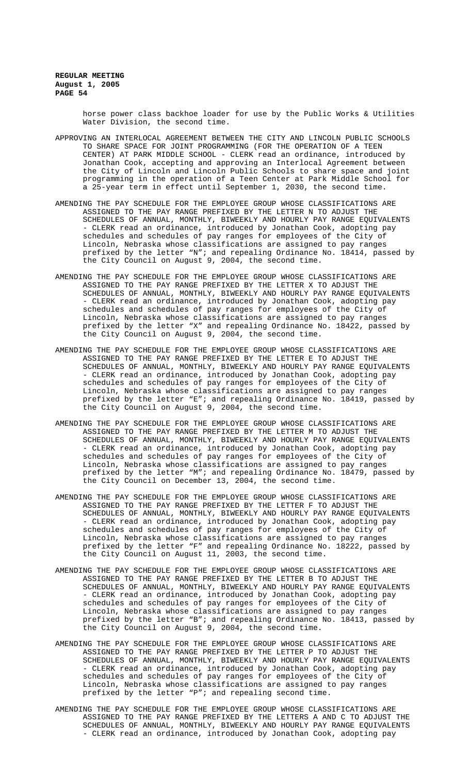> horse power class backhoe loader for use by the Public Works & Utilities Water Division, the second time.

- APPROVING AN INTERLOCAL AGREEMENT BETWEEN THE CITY AND LINCOLN PUBLIC SCHOOLS TO SHARE SPACE FOR JOINT PROGRAMMING (FOR THE OPERATION OF A TEEN CENTER) AT PARK MIDDLE SCHOOL - CLERK read an ordinance, introduced by Jonathan Cook, accepting and approving an Interlocal Agreement between the City of Lincoln and Lincoln Public Schools to share space and joint programming in the operation of a Teen Center at Park Middle School for a 25-year term in effect until September 1, 2030, the second time.
- AMENDING THE PAY SCHEDULE FOR THE EMPLOYEE GROUP WHOSE CLASSIFICATIONS ARE ASSIGNED TO THE PAY RANGE PREFIXED BY THE LETTER N TO ADJUST THE SCHEDULES OF ANNUAL, MONTHLY, BIWEEKLY AND HOURLY PAY RANGE EQUIVALENTS - CLERK read an ordinance, introduced by Jonathan Cook, adopting pay schedules and schedules of pay ranges for employees of the City of Lincoln, Nebraska whose classifications are assigned to pay ranges prefixed by the letter "N"; and repealing Ordinance No. 18414, passed by the City Council on August 9, 2004, the second time.
- AMENDING THE PAY SCHEDULE FOR THE EMPLOYEE GROUP WHOSE CLASSIFICATIONS ARE ASSIGNED TO THE PAY RANGE PREFIXED BY THE LETTER X TO ADJUST THE SCHEDULES OF ANNUAL, MONTHLY, BIWEEKLY AND HOURLY PAY RANGE EQUIVALENTS - CLERK read an ordinance, introduced by Jonathan Cook, adopting pay schedules and schedules of pay ranges for employees of the City of Lincoln, Nebraska whose classifications are assigned to pay ranges prefixed by the letter "X" and repealing Ordinance No. 18422, passed by the City Council on August 9, 2004, the second time.
- AMENDING THE PAY SCHEDULE FOR THE EMPLOYEE GROUP WHOSE CLASSIFICATIONS ARE ASSIGNED TO THE PAY RANGE PREFIXED BY THE LETTER E TO ADJUST THE SCHEDULES OF ANNUAL, MONTHLY, BIWEEKLY AND HOURLY PAY RANGE EQUIVALENTS - CLERK read an ordinance, introduced by Jonathan Cook, adopting pay schedules and schedules of pay ranges for employees of the City of Lincoln, Nebraska whose classifications are assigned to pay ranges prefixed by the letter "E"; and repealing Ordinance No. 18419, passed by the City Council on August 9, 2004, the second time.
- AMENDING THE PAY SCHEDULE FOR THE EMPLOYEE GROUP WHOSE CLASSIFICATIONS ARE ASSIGNED TO THE PAY RANGE PREFIXED BY THE LETTER M TO ADJUST THE SCHEDULES OF ANNUAL, MONTHLY, BIWEEKLY AND HOURLY PAY RANGE EQUIVALENTS - CLERK read an ordinance, introduced by Jonathan Cook, adopting pay schedules and schedules of pay ranges for employees of the City of Lincoln, Nebraska whose classifications are assigned to pay ranges prefixed by the letter "M"; and repealing Ordinance No. 18479, passed by the City Council on December 13, 2004, the second time.
- AMENDING THE PAY SCHEDULE FOR THE EMPLOYEE GROUP WHOSE CLASSIFICATIONS ARE ASSIGNED TO THE PAY RANGE PREFIXED BY THE LETTER F TO ADJUST THE SCHEDULES OF ANNUAL, MONTHLY, BIWEEKLY AND HOURLY PAY RANGE EQUIVALENTS - CLERK read an ordinance, introduced by Jonathan Cook, adopting pay schedules and schedules of pay ranges for employees of the City of Lincoln, Nebraska whose classifications are assigned to pay ranges prefixed by the letter "F" and repealing Ordinance No. 18222, passed by the City Council on August 11, 2003, the second time.
- AMENDING THE PAY SCHEDULE FOR THE EMPLOYEE GROUP WHOSE CLASSIFICATIONS ARE ASSIGNED TO THE PAY RANGE PREFIXED BY THE LETTER B TO ADJUST THE SCHEDULES OF ANNUAL, MONTHLY, BIWEEKLY AND HOURLY PAY RANGE EQUIVALENTS - CLERK read an ordinance, introduced by Jonathan Cook, adopting pay schedules and schedules of pay ranges for employees of the City of Lincoln, Nebraska whose classifications are assigned to pay ranges prefixed by the letter "B"; and repealing Ordinance No. 18413, passed by the City Council on August 9, 2004, the second time.
- AMENDING THE PAY SCHEDULE FOR THE EMPLOYEE GROUP WHOSE CLASSIFICATIONS ARE ASSIGNED TO THE PAY RANGE PREFIXED BY THE LETTER P TO ADJUST THE SCHEDULES OF ANNUAL, MONTHLY, BIWEEKLY AND HOURLY PAY RANGE EQUIVALENTS - CLERK read an ordinance, introduced by Jonathan Cook, adopting pay schedules and schedules of pay ranges for employees of the City of Lincoln, Nebraska whose classifications are assigned to pay ranges prefixed by the letter "P"; and repealing second time.
- AMENDING THE PAY SCHEDULE FOR THE EMPLOYEE GROUP WHOSE CLASSIFICATIONS ARE ASSIGNED TO THE PAY RANGE PREFIXED BY THE LETTERS A AND C TO ADJUST THE SCHEDULES OF ANNUAL, MONTHLY, BIWEEKLY AND HOURLY PAY RANGE EQUIVALENTS - CLERK read an ordinance, introduced by Jonathan Cook, adopting pay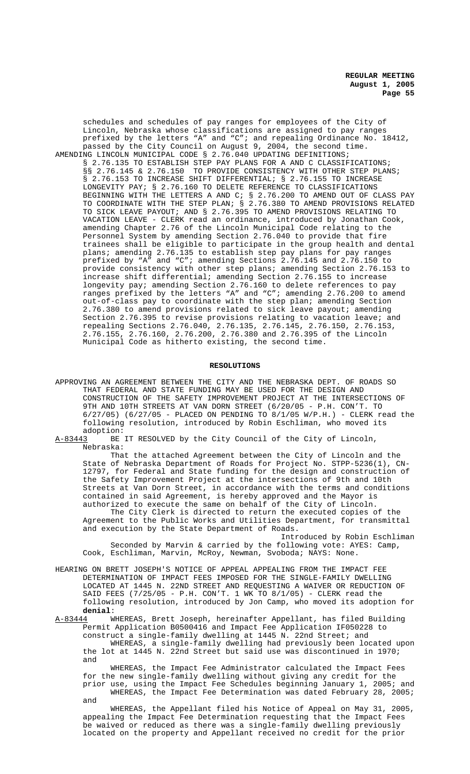schedules and schedules of pay ranges for employees of the City of Lincoln, Nebraska whose classifications are assigned to pay ranges prefixed by the letters "A" and "C"; and repealing Ordinance No. 18412, passed by the City Council on August 9, 2004, the second time. AMENDING LINCOLN MUNICIPAL CODE § 2.76.040 UPDATING DEFINITIONS; § 2.76.135 TO ESTABLISH STEP PAY PLANS FOR A AND C CLASSIFICATIONS; §§ 2.76.145 & 2.76.150 TO PROVIDE CONSISTENCY WITH OTHER STEP PLANS; § 2.76.153 TO INCREASE SHIFT DIFFERENTIAL; § 2.76.155 TO INCREASE LONGEVITY PAY; § 2.76.160 TO DELETE REFERENCE TO CLASSIFICATIONS BEGINNING WITH THE LETTERS A AND C; § 2.76.200 TO AMEND OUT OF CLASS PAY TO COORDINATE WITH THE STEP PLAN; § 2.76.380 TO AMEND PROVISIONS RELATED TO SICK LEAVE PAYOUT; AND § 2.76.395 TO AMEND PROVISIONS RELATING TO VACATION LEAVE - CLERK read an ordinance, introduced by Jonathan Cook, amending Chapter 2.76 of the Lincoln Municipal Code relating to the Personnel System by amending Section 2.76.040 to provide that fire trainees shall be eligible to participate in the group health and dental plans; amending 2.76.135 to establish step pay plans for pay ranges prefixed by "A" and "C"; amending Sections 2.76.145 and 2.76.150 to provide consistency with other step plans; amending Section 2.76.153 to increase shift differential; amending Section 2.76.155 to increase longevity pay; amending Section 2.76.160 to delete references to pay ranges prefixed by the letters "A" and "C"; amending 2.76.200 to amend out-of-class pay to coordinate with the step plan; amending Section 2.76.380 to amend provisions related to sick leave payout; amending Section 2.76.395 to revise provisions relating to vacation leave; and repealing Sections 2.76.040, 2.76.135, 2.76.145, 2.76.150, 2.76.153, 2.76.155, 2.76.160, 2.76.200, 2.76.380 and 2.76.395 of the Lincoln Municipal Code as hitherto existing, the second time.

#### **RESOLUTIONS**

- APPROVING AN AGREEMENT BETWEEN THE CITY AND THE NEBRASKA DEPT. OF ROADS SO THAT FEDERAL AND STATE FUNDING MAY BE USED FOR THE DESIGN AND CONSTRUCTION OF THE SAFETY IMPROVEMENT PROJECT AT THE INTERSECTIONS OF 9TH AND 10TH STREETS AT VAN DORN STREET (6/20/05 - P.H. CON'T. TO 6/27/05) (6/27/05 - PLACED ON PENDING TO 8/1/05 W/P.H.) - CLERK read the following resolution, introduced by Robin Eschliman, who moved its
- adoption:<br>A-83443 BE BE IT RESOLVED by the City Council of the City of Lincoln, Nebraska:

That the attached Agreement between the City of Lincoln and the State of Nebraska Department of Roads for Project No. STPP-5236(1), CN-12797, for Federal and State funding for the design and construction of the Safety Improvement Project at the intersections of 9th and 10th Streets at Van Dorn Street, in accordance with the terms and conditions contained in said Agreement, is hereby approved and the Mayor is authorized to execute the same on behalf of the City of Lincoln.

The City Clerk is directed to return the executed copies of the Agreement to the Public Works and Utilities Department, for transmittal and execution by the State Department of Roads.

Introduced by Robin Eschliman Seconded by Marvin & carried by the following vote: AYES: Camp, Cook, Eschliman, Marvin, McRoy, Newman, Svoboda; NAYS: None.

HEARING ON BRETT JOSEPH'S NOTICE OF APPEAL APPEALING FROM THE IMPACT FEE DETERMINATION OF IMPACT FEES IMPOSED FOR THE SINGLE-FAMILY DWELLING LOCATED AT 1445 N. 22ND STREET AND REQUESTING A WAIVER OR REDUCTION OF SAID FEES (7/25/05 - P.H. CON'T. 1 WK TO 8/1/05) - CLERK read the following resolution, introduced by Jon Camp, who moved its adoption for **denial:**<br><u>A-83444</u> WI

WHEREAS, Brett Joseph, hereinafter Appellant, has filed Building Permit Application B0500416 and Impact Fee Application IF050228 to construct a single-family dwelling at 1445 N. 22nd Street; and WHEREAS, a single-family dwelling had previously been located upon the lot at 1445 N. 22nd Street but said use was discontinued in 1970; and

WHEREAS, the Impact Fee Administrator calculated the Impact Fees for the new single-family dwelling without giving any credit for the prior use, using the Impact Fee Schedules beginning January 1, 2005; and WHEREAS, the Impact Fee Determination was dated February 28, 2005; and

WHEREAS, the Appellant filed his Notice of Appeal on May 31, 2005, appealing the Impact Fee Determination requesting that the Impact Fees be waived or reduced as there was a single-family dwelling previously located on the property and Appellant received no credit for the prior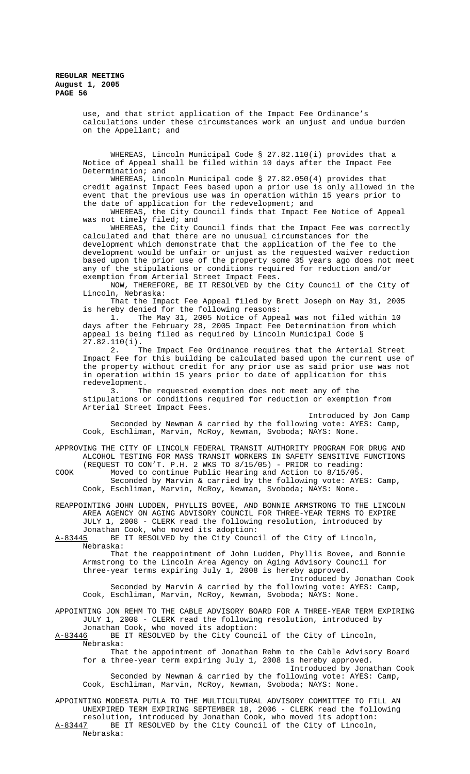use, and that strict application of the Impact Fee Ordinance's calculations under these circumstances work an unjust and undue burden on the Appellant; and

WHEREAS, Lincoln Municipal Code § 27.82.110(i) provides that a Notice of Appeal shall be filed within 10 days after the Impact Fee Determination; and

WHEREAS, Lincoln Municipal code § 27.82.050(4) provides that credit against Impact Fees based upon a prior use is only allowed in the event that the previous use was in operation within 15 years prior to the date of application for the redevelopment; and

WHEREAS, the City Council finds that Impact Fee Notice of Appeal was not timely filed; and

WHEREAS, the City Council finds that the Impact Fee was correctly calculated and that there are no unusual circumstances for the development which demonstrate that the application of the fee to the development would be unfair or unjust as the requested waiver reduction based upon the prior use of the property some 35 years ago does not meet any of the stipulations or conditions required for reduction and/or exemption from Arterial Street Impact Fees.

NOW, THEREFORE, BE IT RESOLVED by the City Council of the City of Lincoln, Nebraska:

That the Impact Fee Appeal filed by Brett Joseph on May 31, 2005 is hereby denied for the following reasons:

1. The May 31, 2005 Notice of Appeal was not filed within 10 days after the February 28, 2005 Impact Fee Determination from which appeal is being filed as required by Lincoln Municipal Code §  $27.82.110(i).$ <br>2. T

The Impact Fee Ordinance requires that the Arterial Street Impact Fee for this building be calculated based upon the current use of the property without credit for any prior use as said prior use was not in operation within 15 years prior to date of application for this redevelopment.

3. The requested exemption does not meet any of the stipulations or conditions required for reduction or exemption from Arterial Street Impact Fees.

Introduced by Jon Camp Seconded by Newman & carried by the following vote: AYES: Camp, Cook, Eschliman, Marvin, McRoy, Newman, Svoboda; NAYS: None.

APPROVING THE CITY OF LINCOLN FEDERAL TRANSIT AUTHORITY PROGRAM FOR DRUG AND ALCOHOL TESTING FOR MASS TRANSIT WORKERS IN SAFETY SENSITIVE FUNCTIONS (REQUEST TO CON'T. P.H. 2 WKS TO 8/15/05) - PRIOR to reading:

COOK Moved to continue Public Hearing and Action to 8/15/05. Seconded by Marvin & carried by the following vote: AYES: Camp, Cook, Eschliman, Marvin, McRoy, Newman, Svoboda; NAYS: None.

REAPPOINTING JOHN LUDDEN, PHYLLIS BOVEE, AND BONNIE ARMSTRONG TO THE LINCOLN AREA AGENCY ON AGING ADVISORY COUNCIL FOR THREE-YEAR TERMS TO EXPIRE JULY 1, 2008 - CLERK read the following resolution, introduced by Jonathan Cook, who moved its adoption:<br>A-83445 BE IT RESOLVED by the City Counc

BE IT RESOLVED by the City Council of the City of Lincoln, Nebraska:

That the reappointment of John Ludden, Phyllis Bovee, and Bonnie Armstrong to the Lincoln Area Agency on Aging Advisory Council for three-year terms expiring July 1, 2008 is hereby approved.

Introduced by Jonathan Cook Seconded by Marvin & carried by the following vote: AYES: Camp, Cook, Eschliman, Marvin, McRoy, Newman, Svoboda; NAYS: None.

APPOINTING JON REHM TO THE CABLE ADVISORY BOARD FOR A THREE-YEAR TERM EXPIRING JULY 1, 2008 - CLERK read the following resolution, introduced by

Jonathan Cook, who moved its adoption:<br>A-83446 BE IT RESOLVED by the City Counc. BE IT RESOLVED by the City Council of the City of Lincoln, Nebraska:

That the appointment of Jonathan Rehm to the Cable Advisory Board for a three-year term expiring July 1, 2008 is hereby approved. Introduced by Jonathan Cook Seconded by Newman & carried by the following vote: AYES: Camp, Cook, Eschliman, Marvin, McRoy, Newman, Svoboda; NAYS: None.

APPOINTING MODESTA PUTLA TO THE MULTICULTURAL ADVISORY COMMITTEE TO FILL AN UNEXPIRED TERM EXPIRING SEPTEMBER 18, 2006 - CLERK read the following resolution, introduced by Jonathan Cook, who moved its adoption: A-83447 BE IT RESOLVED by the City Council of the City of Lincoln, Nebraska: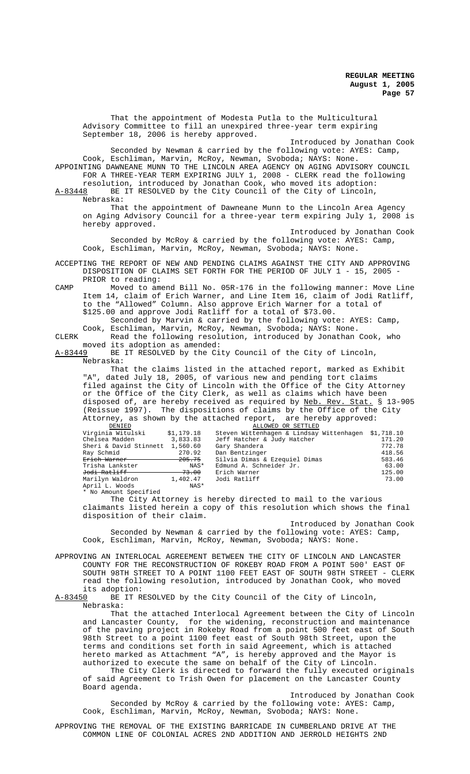That the appointment of Modesta Putla to the Multicultural Advisory Committee to fill an unexpired three-year term expiring September 18, 2006 is hereby approved. Introduced by Jonathan Cook Seconded by Newman & carried by the following vote: AYES: Camp, Cook, Eschliman, Marvin, McRoy, Newman, Svoboda; NAYS: None. APPOINTING DAWNEANE MUNN TO THE LINCOLN AREA AGENCY ON AGING ADVISORY COUNCIL FOR A THREE-YEAR TERM EXPIRING JULY 1, 2008 - CLERK read the following resolution, introduced by Jonathan Cook, who moved its adoption: A-83448 BE IT RESOLVED by the City Council of the City of Lincoln, Nebraska: That the appointment of Dawneane Munn to the Lincoln Area Agency on Aging Advisory Council for a three-year term expiring July 1, 2008 is hereby approved. Introduced by Jonathan Cook Seconded by McRoy & carried by the following vote: AYES: Camp, Cook, Eschliman, Marvin, McRoy, Newman, Svoboda; NAYS: None. ACCEPTING THE REPORT OF NEW AND PENDING CLAIMS AGAINST THE CITY AND APPROVING DISPOSITION OF CLAIMS SET FORTH FOR THE PERIOD OF JULY 1 - 15, 2005 - PRIOR to reading: CAMP Moved to amend Bill No. 05R-176 in the following manner: Move Line Item 14, claim of Erich Warner, and Line Item 16, claim of Jodi Ratliff, to the "Allowed" Column. Also approve Erich Warner for a total of \$125.00 and approve Jodi Ratliff for a total of \$73.00. Seconded by Marvin & carried by the following vote: AYES: Camp, Cook, Eschliman, Marvin, McRoy, Newman, Svoboda; NAYS: None. CLERK Read the following resolution, introduced by Jonathan Cook, who moved its adoption as amended: A-83449 BE IT RESOLVED by the City Council of the City of Lincoln, Nebraska: That the claims listed in the attached report, marked as Exhibit "A", dated July 18, 2005, of various new and pending tort claims filed against the City of Lincoln with the Office of the City Attorney or the Office of the City Clerk, as well as claims which have been disposed of, are hereby received as required by Neb. Rev. Stat. § 13-905 (Reissue 1997). The dispositions of claims by the Office of the City Attorney, as shown by the attached report, are hereby approved:<br>DENIED ALLOWED OR SETTLED<br>Virginia Witulski \$1,179.18 Steven Wittenhagen & Lindsay Wittenhagen \$1 Xim ALLOWED OR SETTLED<br>Steven Wittenhagen & Lindsay Wittenhagen \$1,718.10<br>Jeff Hatcher & Judy Hatcher 171.20<br>Gary Shandera 772.78 Chelsea Madden 3,833.83 Jeff Hatcher & Judy Hatcher 171.20 Sheri & David Stinnett 1,560.60 Gary Shandera 772.78 Ray Schmid 270.92 Dan Bentzinger 418.56 Erich Warner 205.75 Silvia Dimas & Ezequiel Dimas 583.46 Trisha Lankster NAS\* Edmund A. Schneider Jr. 63.00 Jodi Ratliff 73.00 Erich Warner 125.00 Marilyn Waldron 1,402.47<br>April L. Woods NAS\* April L. Woods No Amount Specified The City Attorney is hereby directed to mail to the various claimants listed herein a copy of this resolution which shows the final disposition of their claim. Introduced by Jonathan Cook Seconded by Newman & carried by the following vote: AYES: Camp, Cook, Eschliman, Marvin, McRoy, Newman, Svoboda; NAYS: None. APPROVING AN INTERLOCAL AGREEMENT BETWEEN THE CITY OF LINCOLN AND LANCASTER COUNTY FOR THE RECONSTRUCTION OF ROKEBY ROAD FROM A POINT 500' EAST OF SOUTH 98TH STREET TO A POINT 1100 FEET EAST OF SOUTH 98TH STREET - CLERK read the following resolution, introduced by Jonathan Cook, who moved its adoption:<br><u>A-83450</u> BE IT R BE IT RESOLVED by the City Council of the City of Lincoln, Nebraska: That the attached Interlocal Agreement between the City of Lincoln and Lancaster County, for the widening, reconstruction and maintenance of the paving project in Rokeby Road from a point 500 feet east of South

98th Street to a point 1100 feet east of South 98th Street, upon the terms and conditions set forth in said Agreement, which is attached hereto marked as Attachment "A", is hereby approved and the Mayor is authorized to execute the same on behalf of the City of Lincoln. The City Clerk is directed to forward the fully executed originals

of said Agreement to Trish Owen for placement on the Lancaster County Board agenda. Introduced by Jonathan Cook

Seconded by McRoy & carried by the following vote: AYES: Camp, Cook, Eschliman, Marvin, McRoy, Newman, Svoboda; NAYS: None.

APPROVING THE REMOVAL OF THE EXISTING BARRICADE IN CUMBERLAND DRIVE AT THE COMMON LINE OF COLONIAL ACRES 2ND ADDITION AND JERROLD HEIGHTS 2ND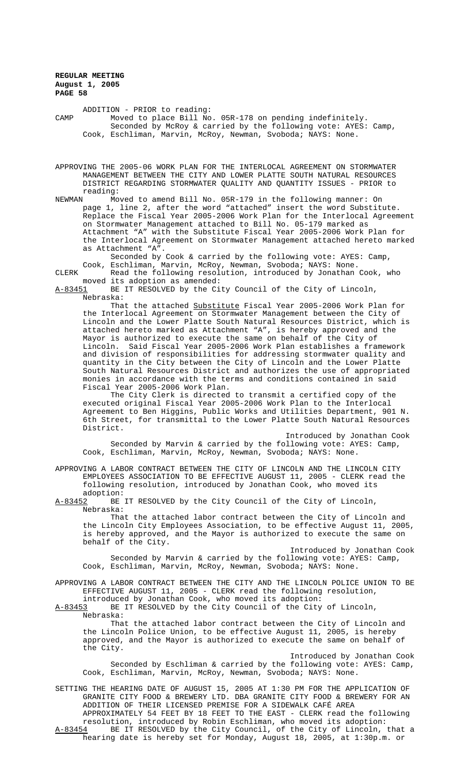ADDITION - PRIOR to reading: CAMP Moved to place Bill No. 05R-178 on pending indefinitely. Seconded by McRoy & carried by the following vote: AYES: Camp, Cook, Eschliman, Marvin, McRoy, Newman, Svoboda; NAYS: None.

APPROVING THE 2005-06 WORK PLAN FOR THE INTERLOCAL AGREEMENT ON STORMWATER MANAGEMENT BETWEEN THE CITY AND LOWER PLATTE SOUTH NATURAL RESOURCES DISTRICT REGARDING STORMWATER QUALITY AND QUANTITY ISSUES - PRIOR to reading:<br>NEWMAN Mo

Moved to amend Bill No. 05R-179 in the following manner: On page 1, line 2, after the word "attached" insert the word Substitute. Replace the Fiscal Year 2005-2006 Work Plan for the Interlocal Agreement on Stormwater Management attached to Bill No. 05-179 marked as Attachment "A" with the Substitute Fiscal Year 2005-2006 Work Plan for the Interlocal Agreement on Stormwater Management attached hereto marked as Attachment "A".

Seconded by Cook & carried by the following vote: AYES: Camp, Cook, Eschliman, Marvin, McRoy, Newman, Svoboda; NAYS: None.

CLERK Read the following resolution, introduced by Jonathan Cook, who moved its adoption as amended:<br>A-83451 BE IT RESOLVED by the Cit

BE IT RESOLVED by the City Council of the City of Lincoln, Nebraska:

That the attached Substitute Fiscal Year 2005-2006 Work Plan for the Interlocal Agreement on Stormwater Management between the City of Lincoln and the Lower Platte South Natural Resources District, which is attached hereto marked as Attachment "A", is hereby approved and the Mayor is authorized to execute the same on behalf of the City of Lincoln. Said Fiscal Year 2005-2006 Work Plan establishes a framework and division of responsibilities for addressing stormwater quality and quantity in the City between the City of Lincoln and the Lower Platte South Natural Resources District and authorizes the use of appropriated monies in accordance with the terms and conditions contained in said Fiscal Year 2005-2006 Work Plan.

The City Clerk is directed to transmit a certified copy of the executed original Fiscal Year 2005-2006 Work Plan to the Interlocal Agreement to Ben Higgins, Public Works and Utilities Department, 901 N. 6th Street, for transmittal to the Lower Platte South Natural Resources District.

Introduced by Jonathan Cook Seconded by Marvin & carried by the following vote: AYES: Camp, Cook, Eschliman, Marvin, McRoy, Newman, Svoboda; NAYS: None.

APPROVING A LABOR CONTRACT BETWEEN THE CITY OF LINCOLN AND THE LINCOLN CITY EMPLOYEES ASSOCIATION TO BE EFFECTIVE AUGUST 11, 2005 - CLERK read the following resolution, introduced by Jonathan Cook, who moved its adoption:<br>A-83452 BE

BE IT RESOLVED by the City Council of the City of Lincoln, Nebraska:

That the attached labor contract between the City of Lincoln and the Lincoln City Employees Association, to be effective August 11, 2005, is hereby approved, and the Mayor is authorized to execute the same on behalf of the City.

Introduced by Jonathan Cook Seconded by Marvin & carried by the following vote: AYES: Camp, Cook, Eschliman, Marvin, McRoy, Newman, Svoboda; NAYS: None.

APPROVING A LABOR CONTRACT BETWEEN THE CITY AND THE LINCOLN POLICE UNION TO BE EFFECTIVE AUGUST 11, 2005 - CLERK read the following resolution, introduced by Jonathan Cook, who moved its adoption:

A-83453 BE IT RESOLVED by the City Council of the City of Lincoln,

Nebraska:

That the attached labor contract between the City of Lincoln and the Lincoln Police Union, to be effective August 11, 2005, is hereby approved, and the Mayor is authorized to execute the same on behalf of the City.

Introduced by Jonathan Cook Seconded by Eschliman & carried by the following vote: AYES: Camp, Cook, Eschliman, Marvin, McRoy, Newman, Svoboda; NAYS: None.

SETTING THE HEARING DATE OF AUGUST 15, 2005 AT 1:30 PM FOR THE APPLICATION OF GRANITE CITY FOOD & BREWERY LTD. DBA GRANITE CITY FOOD & BREWERY FOR AN ADDITION OF THEIR LICENSED PREMISE FOR A SIDEWALK CAFÉ AREA APPROXIMATELY 54 FEET BY 18 FEET TO THE EAST - CLERK read the following resolution, introduced by Robin Eschliman, who moved its adoption:<br>A-83454 BE IT RESOLVED by the City Council, of the City of Lincoln, BE IT RESOLVED by the City Council, of the City of Lincoln, that a

hearing date is hereby set for Monday, August 18, 2005, at 1:30p.m. or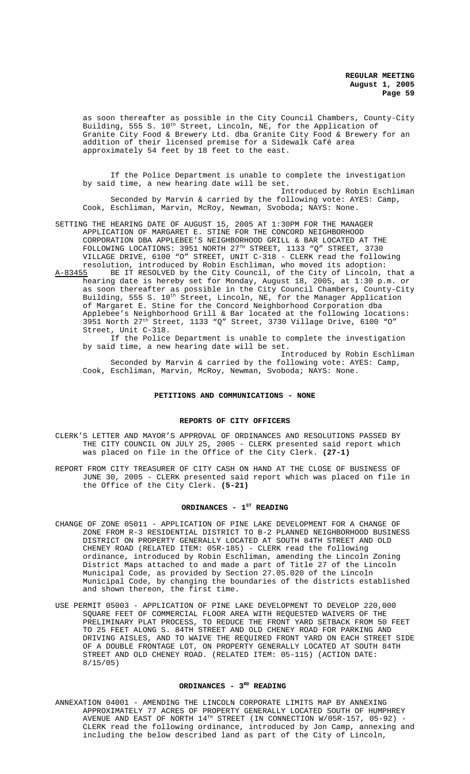as soon thereafter as possible in the City Council Chambers, County-City Building, 555 S. 10<sup>th</sup> Street, Lincoln, NE, for the Application of Granite City Food & Brewery Ltd. dba Granite City Food & Brewery for an addition of their licensed premise for a Sidewalk Café area approximately 54 feet by 18 feet to the east.

If the Police Department is unable to complete the investigation by said time, a new hearing date will be set.

Introduced by Robin Eschliman Seconded by Marvin & carried by the following vote: AYES: Camp, Cook, Eschliman, Marvin, McRoy, Newman, Svoboda; NAYS: None.

SETTING THE HEARING DATE OF AUGUST 15, 2005 AT 1:30PM FOR THE MANAGER APPLICATION OF MARGARET E. STINE FOR THE CONCORD NEIGHBORHOOD CORPORATION DBA APPLEBEE'S NEIGHBORHOOD GRILL & BAR LOCATED AT THE FOLLOWING LOCATIONS: 3951 NORTH 27TH STREET, 1133 "Q" STREET, 3730 VILLAGE DRIVE, 6100 "O" STREET, UNIT C-318 - CLERK read the following resolution, introduced by Robin Eschliman, who moved its adoption:

A-83455 BE IT RESOLVED by the City Council, of the City of Lincoln, that a hearing date is hereby set for Monday, August 18, 2005, at 1:30 p.m. or as soon thereafter as possible in the City Council Chambers, County-City Building, 555 S. 10<sup>th</sup> Street, Lincoln, NE, for the Manager Application of Margaret E. Stine for the Concord Neighborhood Corporation dba Applebee's Neighborhood Grill & Bar located at the following locations: 3951 North 27th Street, 1133 "Q" Street, 3730 Village Drive, 6100 "O" Street, Unit C-318.

If the Police Department is unable to complete the investigation by said time, a new hearing date will be set.

Introduced by Robin Eschliman Seconded by Marvin & carried by the following vote: AYES: Camp, Cook, Eschliman, Marvin, McRoy, Newman, Svoboda; NAYS: None.

# **PETITIONS AND COMMUNICATIONS - NONE**

#### **REPORTS OF CITY OFFICERS**

CLERK'S LETTER AND MAYOR'S APPROVAL OF ORDINANCES AND RESOLUTIONS PASSED BY THE CITY COUNCIL ON JULY 25, 2005 - CLERK presented said report which was placed on file in the Office of the City Clerk. **(27-1)**

REPORT FROM CITY TREASURER OF CITY CASH ON HAND AT THE CLOSE OF BUSINESS OF JUNE 30, 2005 - CLERK presented said report which was placed on file in the Office of the City Clerk. **(5-21)**

#### ORDINANCES - 1<sup>ST</sup> READING

- CHANGE OF ZONE 05011 APPLICATION OF PINE LAKE DEVELOPMENT FOR A CHANGE OF ZONE FROM R-3 RESIDENTIAL DISTRICT TO B-2 PLANNED NEIGHBORHOOD BUSINESS DISTRICT ON PROPERTY GENERALLY LOCATED AT SOUTH 84TH STREET AND OLD CHENEY ROAD (RELATED ITEM: 05R-185) - CLERK read the following ordinance, introduced by Robin Eschliman, amending the Lincoln Zoning District Maps attached to and made a part of Title 27 of the Lincoln Municipal Code, as provided by Section 27.05.020 of the Lincoln Municipal Code, by changing the boundaries of the districts established and shown thereon, the first time.
- USE PERMIT 05003 APPLICATION OF PINE LAKE DEVELOPMENT TO DEVELOP 220,000 SQUARE FEET OF COMMERCIAL FLOOR AREA WITH REQUESTED WAIVERS OF THE PRELIMINARY PLAT PROCESS, TO REDUCE THE FRONT YARD SETBACK FROM 50 FEET TO 25 FEET ALONG S. 84TH STREET AND OLD CHENEY ROAD FOR PARKING AND DRIVING AISLES, AND TO WAIVE THE REQUIRED FRONT YARD ON EACH STREET SIDE OF A DOUBLE FRONTAGE LOT, ON PROPERTY GENERALLY LOCATED AT SOUTH 84TH STREET AND OLD CHENEY ROAD. (RELATED ITEM: 05-115) (ACTION DATE: 8/15/05)

#### ORDINANCES - 3<sup>RD</sup> READING

ANNEXATION 04001 - AMENDING THE LINCOLN CORPORATE LIMITS MAP BY ANNEXING APPROXIMATELY 77 ACRES OF PROPERTY GENERALLY LOCATED SOUTH OF HUMPHREY AVENUE AND EAST OF NORTH  $14^{TH}$  STREET (IN CONNECTION W/05R-157, 05-92) -CLERK read the following ordinance, introduced by Jon Camp, annexing and including the below described land as part of the City of Lincoln,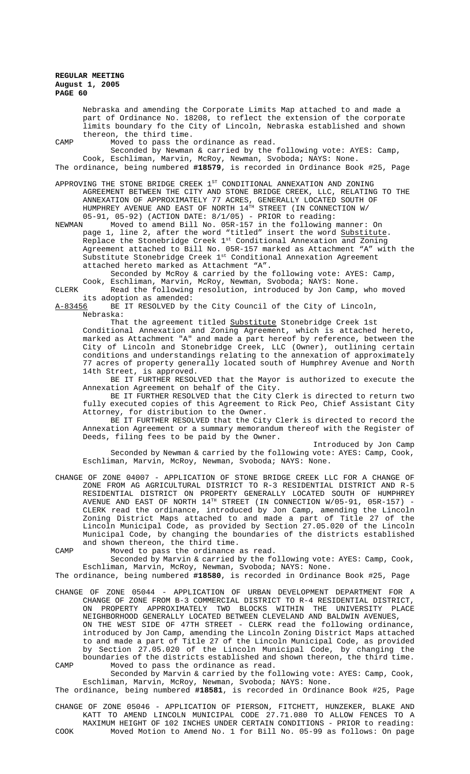Nebraska and amending the Corporate Limits Map attached to and made a part of Ordinance No. 18208, to reflect the extension of the corporate limits boundary fo the City of Lincoln, Nebraska established and shown thereon, the third time.

CAMP Moved to pass the ordinance as read.

Seconded by Newman & carried by the following vote: AYES: Camp, Cook, Eschliman, Marvin, McRoy, Newman, Svoboda; NAYS: None. The ordinance, being numbered **#18579**, is recorded in Ordinance Book #25, Page

APPROVING THE STONE BRIDGE CREEK  $1^{ST}$  CONDITIONAL ANNEXATION AND ZONING

AGREEMENT BETWEEN THE CITY AND STONE BRIDGE CREEK, LLC, RELATING TO THE ANNEXATION OF APPROXIMATELY 77 ACRES, GENERALLY LOCATED SOUTH OF HUMPHREY AVENUE AND EAST OF NORTH 14TH STREET (IN CONNECTION W/ 05-91, 05-92) (ACTION DATE: 8/1/05) - PRIOR to reading:<br>NEWMAN Moved to amend Bill No. 05R-157 in the following

Moved to amend Bill No. 05R-157 in the following manner: On page 1, line 2, after the word "titled" insert the word <u>Substitute</u>. Replace the Stonebridge Creek  $1^{\text{st}}$  Conditional Annexation and Zoning Agreement attached to Bill No. 05R-157 marked as Attachment "A" with the Substitute Stonebridge Creek 1st Conditional Annexation Agreement attached hereto marked as Attachment "A".

Seconded by McRoy & carried by the following vote: AYES: Camp, Cook, Eschliman, Marvin, McRoy, Newman, Svoboda; NAYS: None.

CLERK Read the following resolution, introduced by Jon Camp, who moved its adoption as amended:<br>A-83456 BE IT RESOLVED by

BE IT RESOLVED by the City Council of the City of Lincoln, Nebraska:

That the agreement titled Substitute Stonebridge Creek 1st Conditional Annexation and Zoning Agreement, which is attached hereto, marked as Attachment "A" and made a part hereof by reference, between the City of Lincoln and Stonebridge Creek, LLC (Owner), outlining certain conditions and understandings relating to the annexation of approximately 77 acres of property generally located south of Humphrey Avenue and North 14th Street, is approved.

BE IT FURTHER RESOLVED that the Mayor is authorized to execute the Annexation Agreement on behalf of the City.

BE IT FURTHER RESOLVED that the City Clerk is directed to return two fully executed copies of this Agreement to Rick Peo, Chief Assistant City Attorney, for distribution to the Owner.

BE IT FURTHER RESOLVED that the City Clerk is directed to record the Annexation Agreement or a summary memorandum thereof with the Register of Deeds, filing fees to be paid by the Owner.

Introduced by Jon Camp Seconded by Newman & carried by the following vote: AYES: Camp, Cook, Eschliman, Marvin, McRoy, Newman, Svoboda; NAYS: None.

CHANGE OF ZONE 04007 - APPLICATION OF STONE BRIDGE CREEK LLC FOR A CHANGE OF ZONE FROM AG AGRICULTURAL DISTRICT TO R-3 RESIDENTIAL DISTRICT AND R-5 RESIDENTIAL DISTRICT ON PROPERTY GENERALLY LOCATED SOUTH OF HUMPHREY AVENUE AND EAST OF NORTH  $14^{TH}$  STREET (IN CONNECTION W/05-91, 05R-157) -CLERK read the ordinance, introduced by Jon Camp, amending the Lincoln Zoning District Maps attached to and made a part of Title 27 of the Lincoln Municipal Code, as provided by Section 27.05.020 of the Lincoln Municipal Code, by changing the boundaries of the districts established and shown thereon, the third time.

CAMP Moved to pass the ordinance as read.

Seconded by Marvin & carried by the following vote: AYES: Camp, Cook, Eschliman, Marvin, McRoy, Newman, Svoboda; NAYS: None.

The ordinance, being numbered **#18580**, is recorded in Ordinance Book #25, Page

CHANGE OF ZONE 05044 - APPLICATION OF URBAN DEVELOPMENT DEPARTMENT FOR A CHANGE OF ZONE FROM B-3 COMMERCIAL DISTRICT TO R-4 RESIDENTIAL DISTRICT, ON PROPERTY APPROXIMATELY TWO BLOCKS WITHIN THE UNIVERSITY PLACE NEIGHBORHOOD GENERALLY LOCATED BETWEEN CLEVELAND AND BALDWIN AVENUES, ON THE WEST SIDE OF 47TH STREET - CLERK read the following ordinance, introduced by Jon Camp, amending the Lincoln Zoning District Maps attached to and made a part of Title 27 of the Lincoln Municipal Code, as provided by Section 27.05.020 of the Lincoln Municipal Code, by changing the boundaries of the districts established and shown thereon, the third time. CAMP Moved to pass the ordinance as read.

Seconded by Marvin & carried by the following vote: AYES: Camp, Cook, Eschliman, Marvin, McRoy, Newman, Svoboda; NAYS: None.

The ordinance, being numbered **#18581**, is recorded in Ordinance Book #25, Page

CHANGE OF ZONE 05046 - APPLICATION OF PIERSON, FITCHETT, HUNZEKER, BLAKE AND KATT TO AMEND LINCOLN MUNICIPAL CODE 27.71.080 TO ALLOW FENCES TO A MAXIMUM HEIGHT OF 102 INCHES UNDER CERTAIN CONDITIONS - PRIOR to reading: COOK Moved Motion to Amend No. 1 for Bill No. 05-99 as follows: On page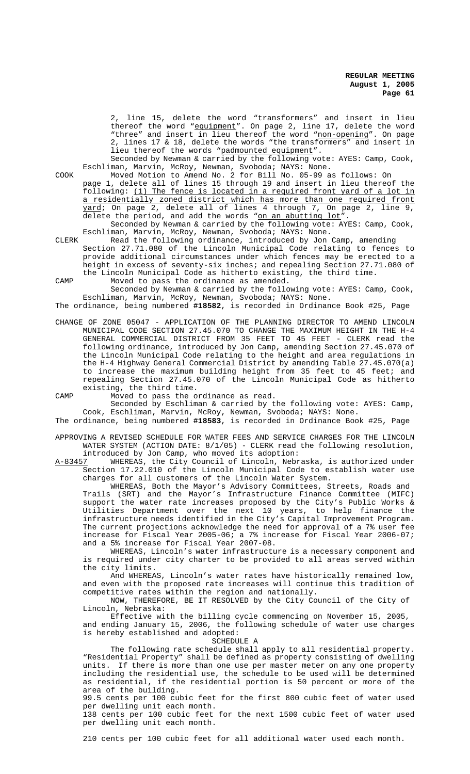2, line 15, delete the word "transformers" and insert in lieu thereof the word "equipment". On page 2, line 17, delete the word "three" and insert in lieu thereof the word "non-opening". On page 2, lines 17 & 18, delete the words "the transformers" and insert in lieu thereof the words "padmounted equipment".

Seconded by Newman & carried by the following vote: AYES: Camp, Cook, Eschliman, Marvin, McRoy, Newman, Svoboda; NAYS: None.

COOK Moved Motion to Amend No. 2 for Bill No. 05-99 as follows: On page 1, delete all of lines 15 through 19 and insert in lieu thereof the following: (1) The fence is located in a required front yard of a lot in a residentially zoned district which has more than one required front yard; On page 2, delete all of lines 4 through 7, On page 2, line 9, delete the period, and add the words "on an abutting lot

Seconded by Newman & carried by the following vote: AYES: Camp, Cook, Eschliman, Marvin, McRoy, Newman, Svoboda; NAYS: None.

CLERK Read the following ordinance, introduced by Jon Camp, amending Section 27.71.080 of the Lincoln Municipal Code relating to fences to provide additional circumstances under which fences may be erected to a height in excess of seventy-six inches; and repealing Section 27.71.080 of the Lincoln Municipal Code as hitherto existing, the third time.

CAMP Moved to pass the ordinance as amended.

Seconded by Newman & carried by the following vote: AYES: Camp, Cook, Eschliman, Marvin, McRoy, Newman, Svoboda; NAYS: None.

The ordinance, being numbered **#18582**, is recorded in Ordinance Book #25, Page

CHANGE OF ZONE 05047 - APPLICATION OF THE PLANNING DIRECTOR TO AMEND LINCOLN MUNICIPAL CODE SECTION 27.45.070 TO CHANGE THE MAXIMUM HEIGHT IN THE H-4 GENERAL COMMERCIAL DISTRICT FROM 35 FEET TO 45 FEET - CLERK read the following ordinance, introduced by Jon Camp, amending Section 27.45.070 of the Lincoln Municipal Code relating to the height and area regulations in the H-4 Highway General Commercial District by amending Table 27.45.070(a) to increase the maximum building height from 35 feet to 45 feet; and repealing Section 27.45.070 of the Lincoln Municipal Code as hitherto existing, the third time.

CAMP Moved to pass the ordinance as read.

Seconded by Eschliman & carried by the following vote: AYES: Camp, Cook, Eschliman, Marvin, McRoy, Newman, Svoboda; NAYS: None.

The ordinance, being numbered **#18583**, is recorded in Ordinance Book #25, Page

APPROVING A REVISED SCHEDULE FOR WATER FEES AND SERVICE CHARGES FOR THE LINCOLN WATER SYSTEM (ACTION DATE: 8/1/05) - CLERK read the following resolution, introduced by Jon Camp, who moved its adoption:<br>A-83457 WHEREAS, the City Council of Lincoln, Nebr

WHEREAS, the City Council of Lincoln, Nebraska, is authorized under Section 17.22.010 of the Lincoln Municipal Code to establish water use charges for all customers of the Lincoln Water System.

WHEREAS, Both the Mayor's Advisory Committees, Streets, Roads and Trails (SRT) and the Mayor's Infrastructure Finance Committee (MIFC) support the water rate increases proposed by the City's Public Works & Utilities Department over the next 10 years, to help finance the infrastructure needs identified in the City's Capital Improvement Program. The current projections acknowledge the need for approval of a 7% user fee increase for Fiscal Year 2005-06; a 7% increase for Fiscal Year 2006-07; and a 5% increase for Fiscal Year 2007-08.

WHEREAS, Lincoln's water infrastructure is a necessary component and is required under city charter to be provided to all areas served within the city limits.

And WHEREAS, Lincoln's water rates have historically remained low, and even with the proposed rate increases will continue this tradition of competitive rates within the region and nationally.

NOW, THEREFORE, BE IT RESOLVED by the City Council of the City of Lincoln, Nebraska:

Effective with the billing cycle commencing on November 15, 2005, and ending January 15, 2006, the following schedule of water use charges is hereby established and adopted:

SCHEDULE A

The following rate schedule shall apply to all residential property. "Residential Property" shall be defined as property consisting of dwelling units. If there is more than one use per master meter on any one property including the residential use, the schedule to be used will be determined as residential, if the residential portion is 50 percent or more of the area of the building.

99.5 cents per 100 cubic feet for the first 800 cubic feet of water used per dwelling unit each month.

138 cents per 100 cubic feet for the next 1500 cubic feet of water used per dwelling unit each month.

210 cents per 100 cubic feet for all additional water used each month.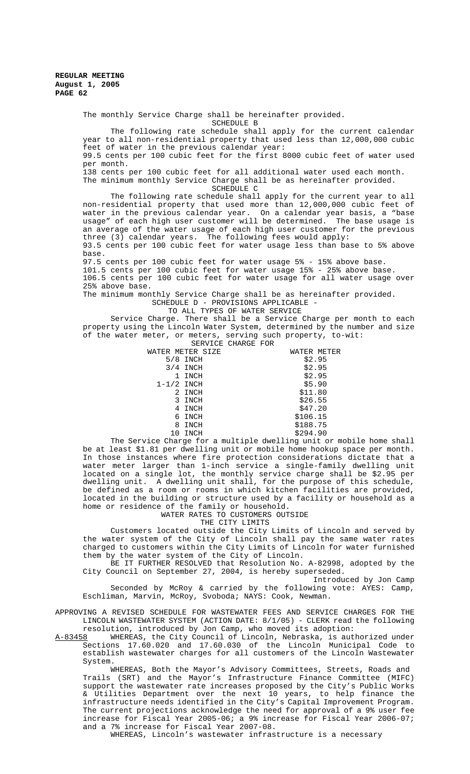> The monthly Service Charge shall be hereinafter provided. SCHEDULE B

The following rate schedule shall apply for the current calendar year to all non-residential property that used less than 12,000,000 cubic feet of water in the previous calendar year:

99.5 cents per 100 cubic feet for the first 8000 cubic feet of water used per month.

138 cents per 100 cubic feet for all additional water used each month. The minimum monthly Service Charge shall be as hereinafter provided.

SCHEDULE C

The following rate schedule shall apply for the current year to all non-residential property that used more than 12,000,000 cubic feet of water in the previous calendar year. On a calendar year basis, a "base usage" of each high user customer will be determined. The base usage is an average of the water usage of each high user customer for the previous three (3) calendar years. The following fees would apply:

93.5 cents per 100 cubic feet for water usage less than base to 5% above base.

97.5 cents per 100 cubic feet for water usage 5% - 15% above base.

101.5 cents per 100 cubic feet for water usage 15% - 25% above base. 106.5 cents per 100 cubic feet for water usage for all water usage over 25% above base.

The minimum monthly Service Charge shall be as hereinafter provided.

SCHEDULE D - PROVISIONS APPLICABLE -

TO ALL TYPES OF WATER SERVICE

Service Charge. There shall be a Service Charge per month to each property using the Lincoln Water System, determined by the number and size of the water meter, or meters, serving such property, to-wit:

| SERVICE CHARGE FOR              |
|---------------------------------|
| WATER METER<br>WATER METER SIZE |
| \$2.95                          |
| \$2.95                          |
| \$2.95                          |
| \$5.90                          |
| \$11.80                         |
| \$26.55                         |
| \$47.20                         |
| \$106.15                        |
| \$188.75                        |
| \$294.90                        |
|                                 |

The Service Charge for a multiple dwelling unit or mobile home shall be at least \$1.81 per dwelling unit or mobile home hookup space per month. In those instances where fire protection considerations dictate that a water meter larger than 1-inch service a single-family dwelling unit located on a single lot, the monthly service charge shall be \$2.95 per dwelling unit. A dwelling unit shall, for the purpose of this schedule, be defined as a room or rooms in which kitchen facilities are provided, located in the building or structure used by a facility or household as a home or residence of the family or household.

WATER RATES TO CUSTOMERS OUTSIDE

THE CITY LIMITS

Customers located outside the City Limits of Lincoln and served by the water system of the City of Lincoln shall pay the same water rates charged to customers within the City Limits of Lincoln for water furnished them by the water system of the City of Lincoln.

BE IT FURTHER RESOLVED that Resolution No. A-82998, adopted by the City Council on September 27, 2004, is hereby superseded.

Introduced by Jon Camp Seconded by McRoy & carried by the following vote: AYES: Camp, Eschliman, Marvin, McRoy, Svoboda; NAYS: Cook, Newman.

APPROVING A REVISED SCHEDULE FOR WASTEWATER FEES AND SERVICE CHARGES FOR THE LINCOLN WASTEWATER SYSTEM (ACTION DATE: 8/1/05) - CLERK read the following

resolution, introduced by Jon Camp, who moved its adoption:<br>A-83458 WHEREAS, the City Council of Lincoln, Nebraska, is aut A-83458 WHEREAS, the City Council of Lincoln, Nebraska, is authorized under Sections 17.60.020 and 17.60.030 of the Lincoln Municipal Code to establish wastewater charges for all customers of the Lincoln Wastewater System.

WHEREAS, Both the Mayor's Advisory Committees, Streets, Roads and Trails (SRT) and the Mayor's Infrastructure Finance Committee (MIFC) support the wastewater rate increases proposed by the City's Public Works & Utilities Department over the next 10 years, to help finance the infrastructure needs identified in the City's Capital Improvement Program. The current projections acknowledge the need for approval of a 9% user fee increase for Fiscal Year 2005-06; a 9% increase for Fiscal Year 2006-07; and a 7% increase for Fiscal Year 2007-08.

WHEREAS, Lincoln's wastewater infrastructure is a necessary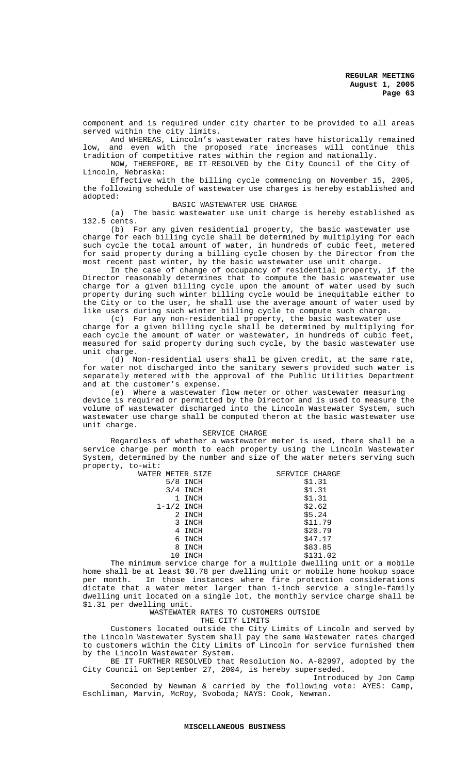component and is required under city charter to be provided to all areas served within the city limits.

And WHEREAS, Lincoln's wastewater rates have historically remained low, and even with the proposed rate increases will continue this tradition of competitive rates within the region and nationally.

NOW, THEREFORE, BE IT RESOLVED by the City Council of the City of Lincoln, Nebraska:

Effective with the billing cycle commencing on November 15, 2005, the following schedule of wastewater use charges is hereby established and adopted:

#### BASIC WASTEWATER USE CHARGE

(a) The basic wastewater use unit charge is hereby established as 132.5 cents.

(b) For any given residential property, the basic wastewater use charge for each billing cycle shall be determined by multiplying for each such cycle the total amount of water, in hundreds of cubic feet, metered for said property during a billing cycle chosen by the Director from the most recent past winter, by the basic wastewater use unit charge.

In the case of change of occupancy of residential property, if the Director reasonably determines that to compute the basic wastewater use charge for a given billing cycle upon the amount of water used by such property during such winter billing cycle would be inequitable either to the City or to the user, he shall use the average amount of water used by like users during such winter billing cycle to compute such charge.

(c) For any non-residential property, the basic wastewater use charge for a given billing cycle shall be determined by multiplying for each cycle the amount of water or wastewater, in hundreds of cubic feet, measured for said property during such cycle, by the basic wastewater use unit charge.

(d) Non-residential users shall be given credit, at the same rate, for water not discharged into the sanitary sewers provided such water is separately metered with the approval of the Public Utilities Department and at the customer's expense.

(e) Where a wastewater flow meter or other wastewater measuring device is required or permitted by the Director and is used to measure the volume of wastewater discharged into the Lincoln Wastewater System, such wastewater use charge shall be computed theron at the basic wastewater use unit charge.

#### SERVICE CHARGE

Regardless of whether a wastewater meter is used, there shall be a service charge per month to each property using the Lincoln Wastewater System, determined by the number and size of the water meters serving such property, to-wit:

| WATER METER SIZE |            | SERVICE CHARGE |
|------------------|------------|----------------|
|                  | $5/8$ INCH | \$1.31         |
|                  | $3/4$ INCH | \$1.31         |
|                  | 1 INCH     | \$1.31         |
| $1 - 1/2$ INCH   |            | \$2.62         |
|                  | 2 INCH     | \$5.24         |
|                  | 3 INCH     | \$11.79        |
|                  | 4 INCH     | \$20.79        |
|                  | 6 INCH     | \$47.17        |
|                  | 8 INCH     | \$83.85        |
|                  | 10 INCH    | \$131.02       |
|                  |            |                |

The minimum service charge for a multiple dwelling unit or a mobile home shall be at least \$0.78 per dwelling unit or mobile home hookup space per month. In those instances where fire protection considerations dictate that a water meter larger than 1-inch service a single-family dwelling unit located on a single lot, the monthly service charge shall be \$1.31 per dwelling unit.

# WASTEWATER RATES TO CUSTOMERS OUTSIDE

THE CITY LIMITS

Customers located outside the City Limits of Lincoln and served by the Lincoln Wastewater System shall pay the same Wastewater rates charged to customers within the City Limits of Lincoln for service furnished them by the Lincoln Wastewater System.

BE IT FURTHER RESOLVED that Resolution No. A-82997, adopted by the City Council on September 27, 2004, is hereby superseded.

Introduced by Jon Camp Seconded by Newman & carried by the following vote: AYES: Camp, Eschliman, Marvin, McRoy, Svoboda; NAYS: Cook, Newman.

#### **MISCELLANEOUS BUSINESS**